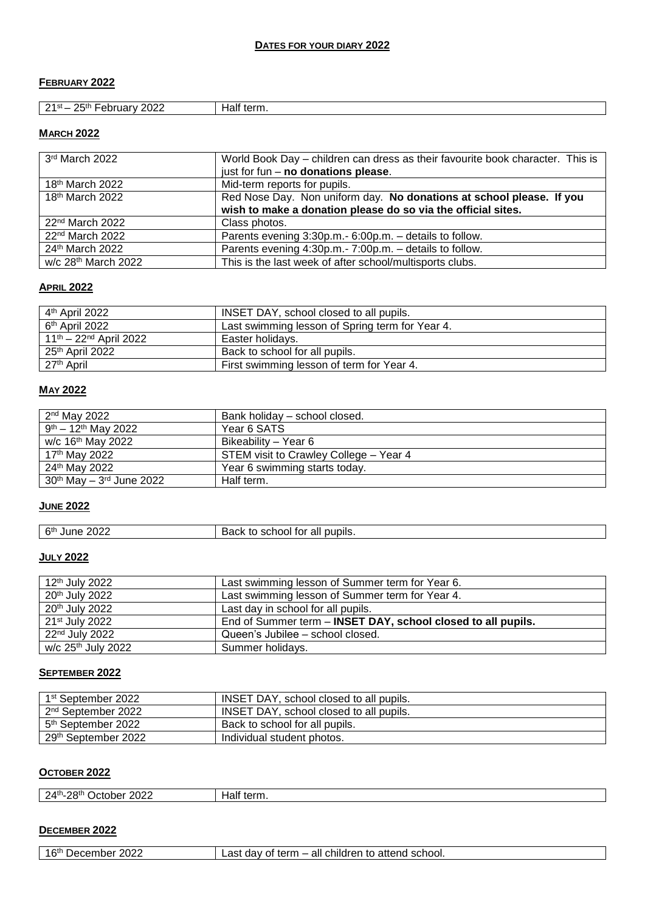## **DATES FOR YOUR DIARY 2022**

### **FEBRUARY 2022**

| つにth<br>2022<br>ົ ?1st _<br>Februarv | Half term. |
|--------------------------------------|------------|
|--------------------------------------|------------|

#### **MARCH 2022**

| 3rd March 2022                  | World Book Day - children can dress as their favourite book character. This is<br>just for fun - no donations please. |
|---------------------------------|-----------------------------------------------------------------------------------------------------------------------|
| 18 <sup>th</sup> March 2022     | Mid-term reports for pupils.                                                                                          |
| 18 <sup>th</sup> March 2022     | Red Nose Day. Non uniform day. No donations at school please. If you                                                  |
|                                 | wish to make a donation please do so via the official sites.                                                          |
| $22nd$ March 2022               | Class photos.                                                                                                         |
| $22nd$ March 2022               | Parents evening 3:30p.m. - 6:00p.m. - details to follow.                                                              |
| 24th March 2022                 | Parents evening 4:30p.m.- 7:00p.m. - details to follow.                                                               |
| w/c 28 <sup>th</sup> March 2022 | This is the last week of after school/multisports clubs.                                                              |

### **APRIL 2022**

| 4 <sup>th</sup> April 2022     | INSET DAY, school closed to all pupils.         |
|--------------------------------|-------------------------------------------------|
| 6 <sup>th</sup> April 2022     | Last swimming lesson of Spring term for Year 4. |
| $11^{th} - 22^{nd}$ April 2022 | Easter holidavs.                                |
| 25 <sup>th</sup> April 2022    | Back to school for all pupils.                  |
| 27 <sup>th</sup> April         | First swimming lesson of term for Year 4.       |

## **MAY 2022**

| $2nd$ May 2022                | Bank holiday – school closed.          |
|-------------------------------|----------------------------------------|
| $9th - 12th$ May 2022         | Year 6 SATS                            |
| w/c 16 <sup>th</sup> May 2022 | Bikeability - Year 6                   |
| 17 <sup>th</sup> May 2022     | STEM visit to Crawley College – Year 4 |
| 24th May 2022                 | Year 6 swimming starts today.          |
| $30th$ May $-3rd$ June 2022   | Half term.                             |

### **JUNE 2022**

| 6 <sup>th</sup><br>' pupils.<br>tor<br>oll<br>June<br>school<br>.<br>all<br>w<br>UZ. |  |
|--------------------------------------------------------------------------------------|--|
|--------------------------------------------------------------------------------------|--|

### **JULY 2022**

| 12 <sup>th</sup> July 2022     | Last swimming lesson of Summer term for Year 6.              |
|--------------------------------|--------------------------------------------------------------|
| 20 <sup>th</sup> July 2022     | Last swimming lesson of Summer term for Year 4.              |
| 20 <sup>th</sup> July 2022     | Last day in school for all pupils.                           |
| 21 <sup>st</sup> July 2022     | End of Summer term - INSET DAY, school closed to all pupils. |
| 22 <sup>nd</sup> July 2022     | Queen's Jubilee - school closed.                             |
| w/c 25 <sup>th</sup> July 2022 | Summer holidays.                                             |

## **SEPTEMBER 2022**

| 1st September 2022             | INSET DAY, school closed to all pupils. |
|--------------------------------|-----------------------------------------|
| 2 <sup>nd</sup> September 2022 | INSET DAY, school closed to all pupils. |
| 5 <sup>th</sup> September 2022 | Back to school for all pupils.          |
| 29th September 2022            | Individual student photos.              |

### **OCTOBER 2022**

| .28th<br>)ctober<br>2022<br>ıaıı<br>. . <del>.</del><br>-<br>the contract of the contract of the contract of |
|--------------------------------------------------------------------------------------------------------------|
|--------------------------------------------------------------------------------------------------------------|

### **DECEMBER 2022**

| 16 <sup>th</sup> December 2022 | Last day of term – all children to attend school. |
|--------------------------------|---------------------------------------------------|
|--------------------------------|---------------------------------------------------|